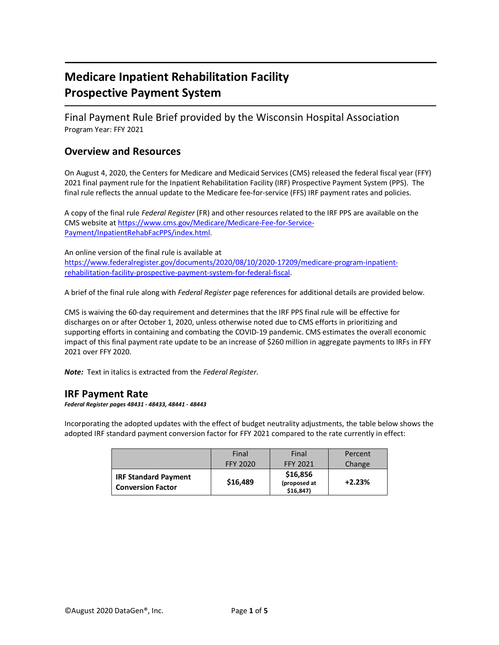# **Medicare Inpatient Rehabilitation Facility Prospective Payment System**

Final Payment Rule Brief provided by the Wisconsin Hospital Association Program Year: FFY 2021

# **Overview and Resources**

On August 4, 2020, the Centers for Medicare and Medicaid Services (CMS) released the federal fiscal year (FFY) 2021 final payment rule for the Inpatient Rehabilitation Facility (IRF) Prospective Payment System (PPS). The final rule reflects the annual update to the Medicare fee-for-service (FFS) IRF payment rates and policies.

A copy of the final rule *Federal Register* (FR) and other resources related to the IRF PPS are available on the CMS website at [https://www.cms.gov/Medicare/Medicare-Fee-for-Service-](https://www.cms.gov/Medicare/Medicare-Fee-for-Service-Payment/InpatientRehabFacPPS/index.html)[Payment/InpatientRehabFacPPS/index.html.](https://www.cms.gov/Medicare/Medicare-Fee-for-Service-Payment/InpatientRehabFacPPS/index.html)

An online version of the final rule is available at [https://www.federalregister.gov/documents/2020/08/10/2020-17209/medicare-program-inpatient](https://www.federalregister.gov/documents/2020/08/10/2020-17209/medicare-program-inpatient-rehabilitation-facility-prospective-payment-system-for-federal-fiscal)[rehabilitation-facility-prospective-payment-system-for-federal-fiscal.](https://www.federalregister.gov/documents/2020/08/10/2020-17209/medicare-program-inpatient-rehabilitation-facility-prospective-payment-system-for-federal-fiscal)

A brief of the final rule along with *Federal Register* page references for additional details are provided below.

CMS is waiving the 60-day requirement and determines that the IRF PPS final rule will be effective for discharges on or after October 1, 2020, unless otherwise noted due to CMS efforts in prioritizing and supporting efforts in containing and combating the COVID-19 pandemic. CMS estimates the overall economic impact of this final payment rate update to be an increase of \$260 million in aggregate payments to IRFs in FFY 2021 over FFY 2020.

*Note:* Text in italics is extracted from the *Federal Register*.

## **IRF Payment Rate**

#### *Federal Register pages 48431 - 48433, 48441 - 48443*

Incorporating the adopted updates with the effect of budget neutrality adjustments, the table below shows the adopted IRF standard payment conversion factor for FFY 2021 compared to the rate currently in effect:

|                                                         | Final           | Final                                   | Percent  |
|---------------------------------------------------------|-----------------|-----------------------------------------|----------|
|                                                         | <b>FFY 2020</b> | <b>FFY 2021</b>                         | Change   |
| <b>IRF Standard Payment</b><br><b>Conversion Factor</b> | \$16,489        | \$16,856<br>(proposed at<br>$$16,847$ ) | $+2.23%$ |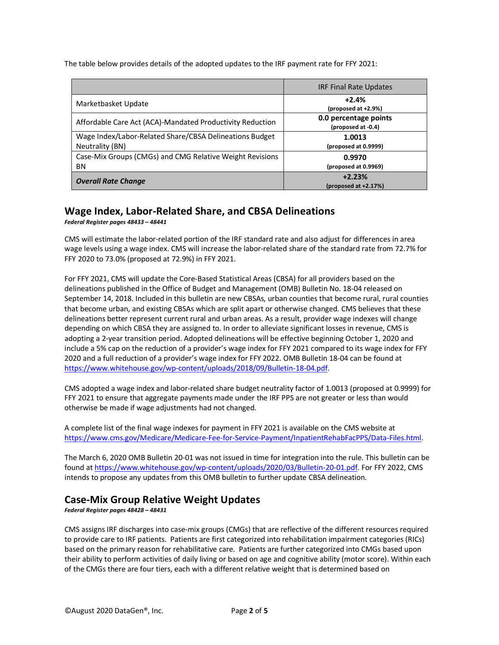The table below provides details of the adopted updates to the IRF payment rate for FFY 2021:

|                                                                            | <b>IRF Final Rate Updates</b>               |
|----------------------------------------------------------------------------|---------------------------------------------|
| Marketbasket Update                                                        | $+2.4%$<br>(proposed at +2.9%)              |
| Affordable Care Act (ACA)-Mandated Productivity Reduction                  | 0.0 percentage points<br>(proposed at -0.4) |
| Wage Index/Labor-Related Share/CBSA Delineations Budget<br>Neutrality (BN) | 1.0013<br>(proposed at 0.9999)              |
| Case-Mix Groups (CMGs) and CMG Relative Weight Revisions<br>ΒN             | 0.9970<br>(proposed at 0.9969)              |
| <b>Overall Rate Change</b>                                                 | $+2.23%$<br>(proposed at $+2.17%$ )         |

#### **Wage Index, Labor-Related Share, and CBSA Delineations** *Federal Register pages 48433 – 48441*

CMS will estimate the labor-related portion of the IRF standard rate and also adjust for differences in area wage levels using a wage index. CMS will increase the labor-related share of the standard rate from 72.7% for FFY 2020 to 73.0% (proposed at 72.9%) in FFY 2021.

For FFY 2021, CMS will update the Core-Based Statistical Areas (CBSA) for all providers based on the delineations published in the Office of Budget and Management (OMB) Bulletin No. 18-04 released on September 14, 2018. Included in this bulletin are new CBSAs, urban counties that become rural, rural counties that become urban, and existing CBSAs which are split apart or otherwise changed. CMS believes that these delineations better represent current rural and urban areas. As a result, provider wage indexes will change depending on which CBSA they are assigned to. In order to alleviate significant losses in revenue, CMS is adopting a 2-year transition period. Adopted delineations will be effective beginning October 1, 2020 and include a 5% cap on the reduction of a provider's wage index for FFY 2021 compared to its wage index for FFY 2020 and a full reduction of a provider's wage index for FFY 2022. OMB Bulletin 18-04 can be found at [https://www.whitehouse.gov/wp-content/uploads/2018/09/Bulletin-18-04.pdf.](https://www.whitehouse.gov/wp-content/uploads/2018/09/Bulletin-18-04.pdf)

CMS adopted a wage index and labor-related share budget neutrality factor of 1.0013 (proposed at 0.9999) for FFY 2021 to ensure that aggregate payments made under the IRF PPS are not greater or less than would otherwise be made if wage adjustments had not changed.

A complete list of the final wage indexes for payment in FFY 2021 is available on the CMS website at [https://www.cms.gov/Medicare/Medicare-Fee-for-Service-Payment/InpatientRehabFacPPS/Data-Files.html.](https://www.cms.gov/Medicare/Medicare-Fee-for-Service-Payment/InpatientRehabFacPPS/Data-Files.html)

The March 6, 2020 OMB Bulletin 20-01 was not issued in time for integration into the rule. This bulletin can be found a[t https://www.whitehouse.gov/wp-content/uploads/2020/03/Bulletin-20-01.pdf.](https://www.whitehouse.gov/wp-content/uploads/2020/03/Bulletin-20-01.pdf) For FFY 2022, CMS intends to propose any updates from this OMB bulletin to further update CBSA delineation.

# **Case-Mix Group Relative Weight Updates**

*Federal Register pages 48428 – 48431*

CMS assigns IRF discharges into case-mix groups (CMGs) that are reflective of the different resources required to provide care to IRF patients. Patients are first categorized into rehabilitation impairment categories (RICs) based on the primary reason for rehabilitative care. Patients are further categorized into CMGs based upon their ability to perform activities of daily living or based on age and cognitive ability (motor score). Within each of the CMGs there are four tiers, each with a different relative weight that is determined based on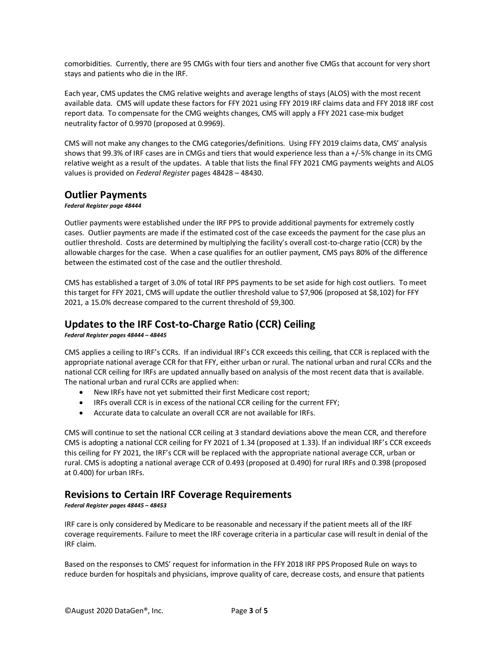comorbidities. Currently, there are 95 CMGs with four tiers and another five CMGs that account for very short stays and patients who die in the IRF.

Each year, CMS updates the CMG relative weights and average lengths of stays (ALOS) with the most recent available data. CMS will update these factors for FFY 2021 using FFY 2019 IRF claims data and FFY 2018 IRF cost report data. To compensate for the CMG weights changes, CMS will apply a FFY 2021 case-mix budget neutrality factor of 0.9970 (proposed at 0.9969).

CMS will not make any changes to the CMG categories/definitions. Using FFY 2019 claims data, CMS' analysis shows that 99.3% of IRF cases are in CMGs and tiers that would experience less than a +/-5% change in its CMG relative weight as a result of the updates. A table that lists the final FFY 2021 CMG payments weights and ALOS values is provided on *Federal Register* pages 48428 – 48430.

## **Outlier Payments**

#### *Federal Register page 48444*

Outlier payments were established under the IRF PPS to provide additional payments for extremely costly cases. Outlier payments are made if the estimated cost of the case exceeds the payment for the case plus an outlier threshold. Costs are determined by multiplying the facility's overall cost-to-charge ratio (CCR) by the allowable charges for the case. When a case qualifies for an outlier payment, CMS pays 80% of the difference between the estimated cost of the case and the outlier threshold.

CMS has established a target of 3.0% of total IRF PPS payments to be set aside for high cost outliers. To meet this target for FFY 2021, CMS will update the outlier threshold value to \$7,906 (proposed at \$8,102) for FFY 2021, a 15.0% decrease compared to the current threshold of \$9,300.

# **Updates to the IRF Cost-to-Charge Ratio (CCR) Ceiling**

*Federal Register pages 48444 – 48445*

CMS applies a ceiling to IRF's CCRs. If an individual IRF's CCR exceeds this ceiling, that CCR is replaced with the appropriate national average CCR for that FFY, either urban or rural. The national urban and rural CCRs and the national CCR ceiling for IRFs are updated annually based on analysis of the most recent data that is available. The national urban and rural CCRs are applied when:

- New IRFs have not yet submitted their first Medicare cost report;
- IRFs overall CCR is in excess of the national CCR ceiling for the current FFY;
- Accurate data to calculate an overall CCR are not available for IRFs.

CMS will continue to set the national CCR ceiling at 3 standard deviations above the mean CCR, and therefore CMS is adopting a national CCR ceiling for FY 2021 of 1.34 (proposed at 1.33). If an individual IRF's CCR exceeds this ceiling for FY 2021, the IRF's CCR will be replaced with the appropriate national average CCR, urban or rural. CMS is adopting a national average CCR of 0.493 (proposed at 0.490) for rural IRFs and 0.398 (proposed at 0.400) for urban IRFs.

# **Revisions to Certain IRF Coverage Requirements**

*Federal Register pages 48445 – 48453*

IRF care is only considered by Medicare to be reasonable and necessary if the patient meets all of the IRF coverage requirements. Failure to meet the IRF coverage criteria in a particular case will result in denial of the IRF claim.

Based on the responses to CMS' request for information in the FFY 2018 IRF PPS Proposed Rule on ways to reduce burden for hospitals and physicians, improve quality of care, decrease costs, and ensure that patients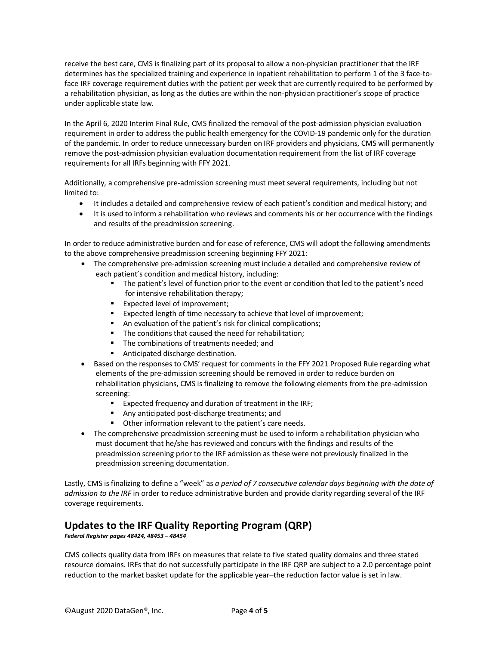receive the best care, CMS is finalizing part of its proposal to allow a non-physician practitioner that the IRF determines has the specialized training and experience in inpatient rehabilitation to perform 1 of the 3 face-toface IRF coverage requirement duties with the patient per week that are currently required to be performed by a rehabilitation physician, as long as the duties are within the non-physician practitioner's scope of practice under applicable state law.

In the April 6, 2020 Interim Final Rule, CMS finalized the removal of the post-admission physician evaluation requirement in order to address the public health emergency for the COVID-19 pandemic only for the duration of the pandemic. In order to reduce unnecessary burden on IRF providers and physicians, CMS will permanently remove the post-admission physician evaluation documentation requirement from the list of IRF coverage requirements for all IRFs beginning with FFY 2021.

Additionally, a comprehensive pre-admission screening must meet several requirements, including but not limited to:

- It includes a detailed and comprehensive review of each patient's condition and medical history; and
- It is used to inform a rehabilitation who reviews and comments his or her occurrence with the findings and results of the preadmission screening.

In order to reduce administrative burden and for ease of reference, CMS will adopt the following amendments to the above comprehensive preadmission screening beginning FFY 2021:

- The comprehensive pre-admission screening must include a detailed and comprehensive review of each patient's condition and medical history, including:
	- The patient's level of function prior to the event or condition that led to the patient's need for intensive rehabilitation therapy;
	- **Expected level of improvement;**
	- **Expected length of time necessary to achieve that level of improvement;**
	- An evaluation of the patient's risk for clinical complications;
	- The conditions that caused the need for rehabilitation;
	- The combinations of treatments needed; and
	- Anticipated discharge destination.
- Based on the responses to CMS' request for comments in the FFY 2021 Proposed Rule regarding what elements of the pre-admission screening should be removed in order to reduce burden on rehabilitation physicians, CMS is finalizing to remove the following elements from the pre-admission screening:
	- Expected frequency and duration of treatment in the IRF;
	- Any anticipated post-discharge treatments; and
	- **•** Other information relevant to the patient's care needs.
- The comprehensive preadmission screening must be used to inform a rehabilitation physician who must document that he/she has reviewed and concurs with the findings and results of the preadmission screening prior to the IRF admission as these were not previously finalized in the preadmission screening documentation.

Lastly, CMS is finalizing to define a "week" as *a period of 7 consecutive calendar days beginning with the date of admission to the IRF* in order to reduce administrative burden and provide clarity regarding several of the IRF coverage requirements.

# **Updates to the IRF Quality Reporting Program (QRP)**

*Federal Register pages 48424, 48453 – 48454*

CMS collects quality data from IRFs on measures that relate to five stated quality domains and three stated resource domains. IRFs that do not successfully participate in the IRF QRP are subject to a 2.0 percentage point reduction to the market basket update for the applicable year–the reduction factor value is set in law.